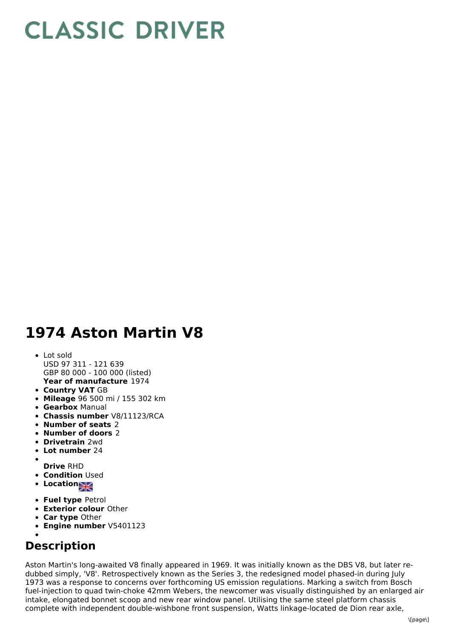## **CLASSIC DRIVER**

## **1974 Aston Martin V8**

- **Year of manufacture** 1974 Lot sold USD 97 311 - 121 639 GBP 80 000 - 100 000 (listed)
- **Country VAT** GB
- **Mileage** 96 500 mi / 155 302 km
- **Gearbox** Manual
- **Chassis number** V8/11123/RCA
- **Number of seats** 2
- **Number of doors** 2
- **Drivetrain** 2wd
- **Lot number** 24
- 
- **Drive** RHD **• Condition Used**
- Location<sub>al</sub>
- **Fuel type** Petrol
- **Exterior colour** Other
- **Car type** Other
- **Engine number** V5401123

## **Description**

Aston Martin's long-awaited V8 finally appeared in 1969. It was initially known as the DBS V8, but later redubbed simply, 'V8'. Retrospectively known as the Series 3, the redesigned model phased-in during July 1973 was a response to concerns over forthcoming US emission regulations. Marking a switch from Bosch fuel-injection to quad twin-choke 42mm Webers, the newcomer was visually distinguished by an enlarged air intake, elongated bonnet scoop and new rear window panel. Utilising the same steel platform chassis complete with independent double-wishbone front suspension, Watts linkage-located de Dion rear axle,